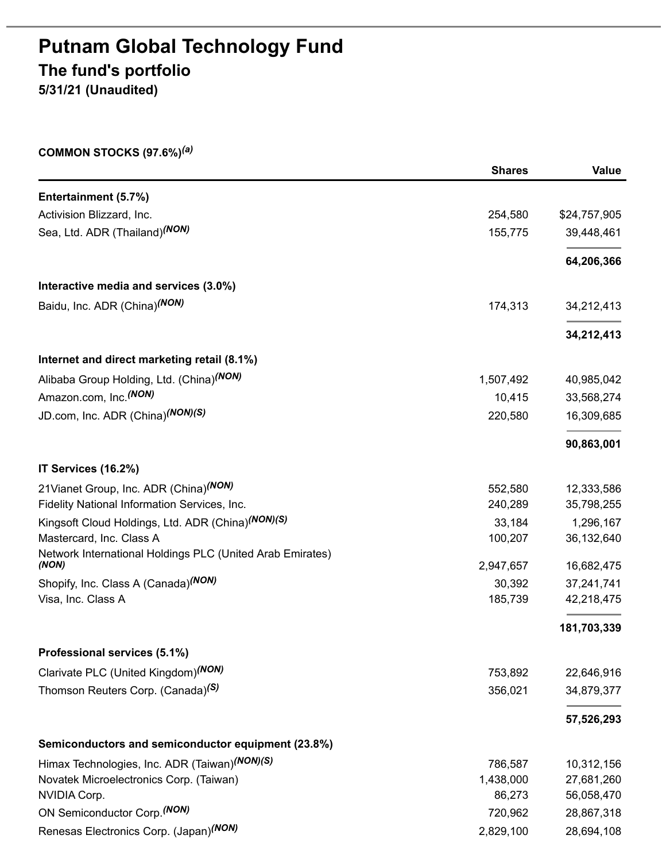# **Putnam Global Technology Fund The fund's portfolio 5/31/21 (Unaudited)**

**COMMON STOCKS (97.6%)** *(a)*

|                                                                    | <b>Shares</b> | <b>Value</b> |
|--------------------------------------------------------------------|---------------|--------------|
| Entertainment (5.7%)                                               |               |              |
| Activision Blizzard, Inc.                                          | 254,580       | \$24,757,905 |
| Sea, Ltd. ADR (Thailand) <sup>(NON)</sup>                          | 155,775       | 39,448,461   |
|                                                                    |               | 64,206,366   |
| Interactive media and services (3.0%)                              |               |              |
| Baidu, Inc. ADR (China) <sup>(NON)</sup>                           | 174,313       | 34,212,413   |
|                                                                    |               | 34,212,413   |
| Internet and direct marketing retail (8.1%)                        |               |              |
| Alibaba Group Holding, Ltd. (China) <sup>(NON)</sup>               | 1,507,492     | 40,985,042   |
| Amazon.com, Inc. <sup>(NON)</sup>                                  | 10,415        | 33,568,274   |
| JD.com, Inc. ADR (China) <sup>(NON)</sup> (S)                      | 220,580       | 16,309,685   |
|                                                                    |               | 90,863,001   |
| IT Services (16.2%)                                                |               |              |
| 21 Vianet Group, Inc. ADR (China) (NON)                            | 552,580       | 12,333,586   |
| Fidelity National Information Services, Inc.                       | 240,289       | 35,798,255   |
| Kingsoft Cloud Holdings, Ltd. ADR (China)(NON)(S)                  | 33,184        | 1,296,167    |
| Mastercard, Inc. Class A                                           | 100,207       | 36,132,640   |
| Network International Holdings PLC (United Arab Emirates)<br>(NON) | 2,947,657     | 16,682,475   |
| Shopify, Inc. Class A (Canada)(NON)                                | 30,392        | 37,241,741   |
| Visa, Inc. Class A                                                 | 185,739       | 42,218,475   |
|                                                                    |               | 181,703,339  |
| Professional services (5.1%)                                       |               |              |
| Clarivate PLC (United Kingdom) (NON)                               | 753,892       | 22,646,916   |
| Thomson Reuters Corp. (Canada) <sup>(S)</sup>                      | 356,021       | 34,879,377   |
|                                                                    |               | 57,526,293   |
| Semiconductors and semiconductor equipment (23.8%)                 |               |              |
| Himax Technologies, Inc. ADR (Taiwan)(NON)(S)                      | 786,587       | 10,312,156   |
| Novatek Microelectronics Corp. (Taiwan)                            | 1,438,000     | 27,681,260   |
| NVIDIA Corp.                                                       | 86,273        | 56,058,470   |
| ON Semiconductor Corp. (NON)                                       | 720,962       | 28,867,318   |
| Renesas Electronics Corp. (Japan) <sup>(NON)</sup>                 | 2,829,100     | 28,694,108   |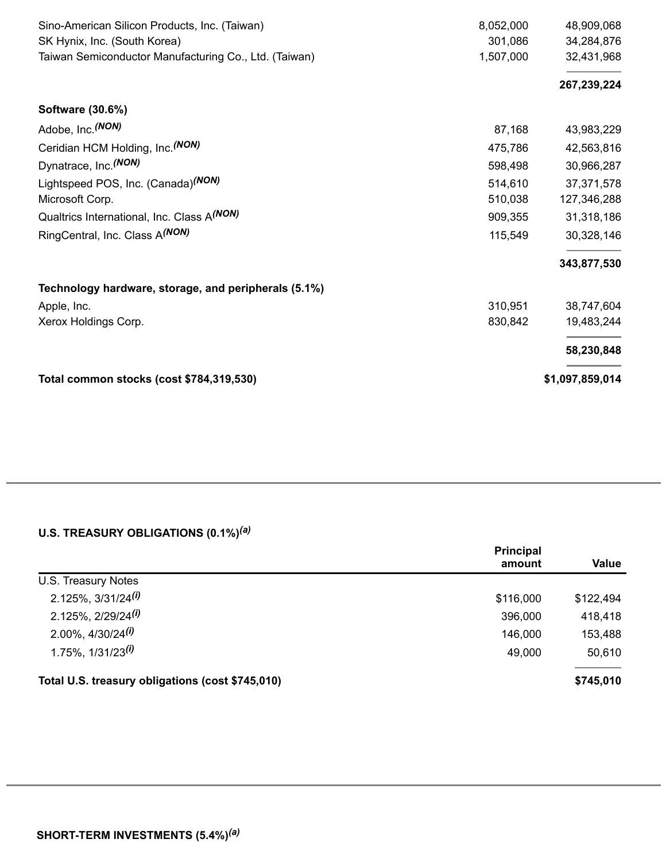| Sino-American Silicon Products, Inc. (Taiwan)         | 8,052,000 | 48,909,068      |
|-------------------------------------------------------|-----------|-----------------|
| SK Hynix, Inc. (South Korea)                          | 301,086   | 34,284,876      |
| Taiwan Semiconductor Manufacturing Co., Ltd. (Taiwan) | 1,507,000 | 32,431,968      |
|                                                       |           | 267,239,224     |
| Software (30.6%)                                      |           |                 |
| Adobe, Inc. (NON)                                     | 87,168    | 43,983,229      |
| Ceridian HCM Holding, Inc. (NON)                      | 475,786   | 42,563,816      |
| Dynatrace, Inc. (NON)                                 | 598,498   | 30,966,287      |
| Lightspeed POS, Inc. (Canada) <sup>(NON)</sup>        | 514,610   | 37,371,578      |
| Microsoft Corp.                                       | 510,038   | 127,346,288     |
| Qualtrics International, Inc. Class A(NON)            | 909,355   | 31,318,186      |
| RingCentral, Inc. Class A <sup>(NON)</sup>            | 115,549   | 30,328,146      |
|                                                       |           | 343,877,530     |
| Technology hardware, storage, and peripherals (5.1%)  |           |                 |
| Apple, Inc.                                           | 310,951   | 38,747,604      |
| Xerox Holdings Corp.                                  | 830,842   | 19,483,244      |
|                                                       |           | 58,230,848      |
| Total common stocks (cost \$784,319,530)              |           | \$1,097,859,014 |

#### **U.S. TREASURY OBLIGATIONS (0.1%)** *(a)*

|                                                  | <b>Principal</b><br>amount | <b>Value</b> |
|--------------------------------------------------|----------------------------|--------------|
| U.S. Treasury Notes                              |                            |              |
| $2.125\%$ , $3/31/24$ <sup>(i)</sup>             | \$116,000                  | \$122,494    |
| $2.125\%$ , $2/29/24$ <sup>(i)</sup>             | 396,000                    | 418,418      |
| $2.00\%$ , $4/30/24$ <sup>(i)</sup>              | 146,000                    | 153,488      |
| $1.75\%$ , $1/31/23$ <sup>(i)</sup>              | 49,000                     | 50,610       |
| Total U.S. treasury obligations (cost \$745,010) |                            | \$745,010    |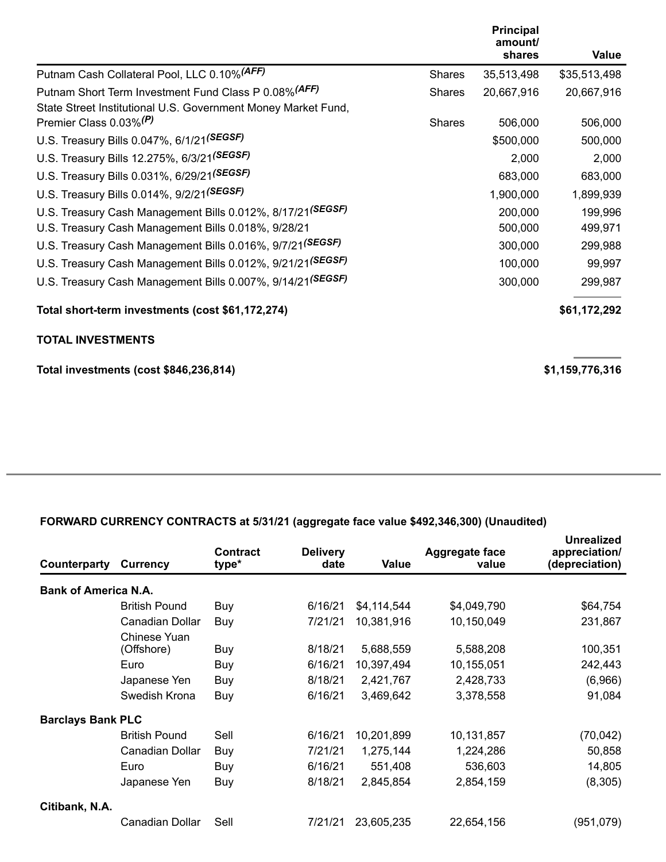|                                                                       |               | <b>Principal</b><br>amount/ |              |
|-----------------------------------------------------------------------|---------------|-----------------------------|--------------|
|                                                                       |               | shares                      | Value        |
| Putnam Cash Collateral Pool, LLC 0.10% (AFF)                          | <b>Shares</b> | 35,513,498                  | \$35,513,498 |
| Putnam Short Term Investment Fund Class P 0.08% (AFF)                 | <b>Shares</b> | 20,667,916                  | 20,667,916   |
| State Street Institutional U.S. Government Money Market Fund,         |               |                             |              |
| Premier Class 0.03% <sup>(P)</sup>                                    | <b>Shares</b> | 506,000                     | 506,000      |
| U.S. Treasury Bills 0.047%, 6/1/21(SEGSF)                             |               | \$500,000                   | 500,000      |
| U.S. Treasury Bills 12.275%, 6/3/21(SEGSF)                            |               | 2,000                       | 2,000        |
| U.S. Treasury Bills 0.031%, 6/29/21(SEGSF)                            |               | 683,000                     | 683,000      |
| U.S. Treasury Bills 0.014%, 9/2/21(SEGSF)                             |               | 1,900,000                   | 1,899,939    |
| U.S. Treasury Cash Management Bills 0.012%, 8/17/21(SEGSF)            |               | 200,000                     | 199,996      |
| U.S. Treasury Cash Management Bills 0.018%, 9/28/21                   |               | 500,000                     | 499,971      |
| U.S. Treasury Cash Management Bills 0.016%, 9/7/21 <sup>(SEGSF)</sup> |               | 300,000                     | 299,988      |
| U.S. Treasury Cash Management Bills 0.012%, 9/21/21(SEGSF)            |               | 100,000                     | 99,997       |
| U.S. Treasury Cash Management Bills 0.007%, 9/14/21(SEGSF)            |               | 300,000                     | 299,987      |
| Total short-term investments (cost \$61,172,274)                      |               |                             | \$61,172,292 |
| <b>TOTAL INVESTMENTS</b>                                              |               |                             |              |

**Total investments (cost \$846,236,814) \$1,159,776,316**

### **FORWARD CURRENCY CONTRACTS at 5/31/21 (aggregate face value \$492,346,300) (Unaudited)**

| Counterparty                | <b>Currency</b>            | <b>Contract</b><br>type* | <b>Delivery</b><br>date | <b>Value</b> | <b>Aggregate face</b><br>value | Unrealized<br>appreciation/<br>(depreciation) |
|-----------------------------|----------------------------|--------------------------|-------------------------|--------------|--------------------------------|-----------------------------------------------|
| <b>Bank of America N.A.</b> |                            |                          |                         |              |                                |                                               |
|                             | <b>British Pound</b>       | Buy                      | 6/16/21                 | \$4,114,544  | \$4,049,790                    | \$64,754                                      |
|                             | Canadian Dollar            | Buy                      | 7/21/21                 | 10,381,916   | 10,150,049                     | 231,867                                       |
|                             | Chinese Yuan<br>(Offshore) | Buy                      | 8/18/21                 | 5,688,559    | 5,588,208                      | 100,351                                       |
|                             | Euro                       | Buy                      | 6/16/21                 | 10,397,494   | 10,155,051                     | 242,443                                       |
|                             | Japanese Yen               | Buy                      | 8/18/21                 | 2,421,767    | 2,428,733                      | (6,966)                                       |
|                             | Swedish Krona              | Buy                      | 6/16/21                 | 3,469,642    | 3,378,558                      | 91,084                                        |
| <b>Barclays Bank PLC</b>    |                            |                          |                         |              |                                |                                               |
|                             | <b>British Pound</b>       | Sell                     | 6/16/21                 | 10,201,899   | 10,131,857                     | (70, 042)                                     |
|                             | Canadian Dollar            | Buy                      | 7/21/21                 | 1,275,144    | 1,224,286                      | 50,858                                        |
|                             | Euro                       | Buy                      | 6/16/21                 | 551,408      | 536,603                        | 14,805                                        |
|                             | Japanese Yen               | Buy                      | 8/18/21                 | 2,845,854    | 2,854,159                      | (8,305)                                       |
| Citibank, N.A.              |                            |                          |                         |              |                                |                                               |
|                             | Canadian Dollar            | Sell                     | 7/21/21                 | 23,605,235   | 22,654,156                     | (951,079)                                     |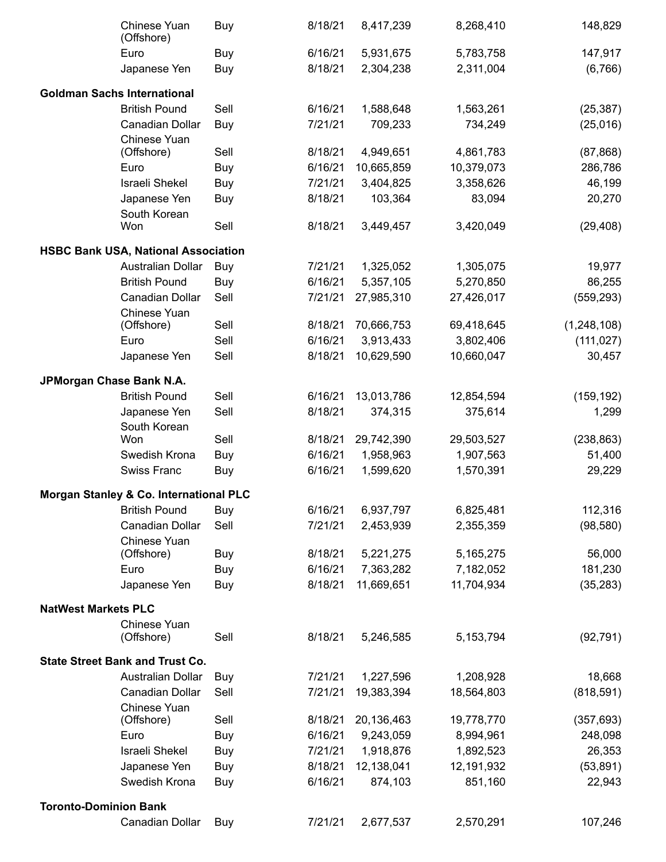|                              | Chinese Yuan<br>(Offshore)                 | Buy        | 8/18/21 | 8,417,239  | 8,268,410   | 148,829       |
|------------------------------|--------------------------------------------|------------|---------|------------|-------------|---------------|
|                              | Euro                                       | Buy        | 6/16/21 | 5,931,675  | 5,783,758   | 147,917       |
|                              | Japanese Yen                               | Buy        | 8/18/21 | 2,304,238  | 2,311,004   | (6,766)       |
|                              |                                            |            |         |            |             |               |
|                              | <b>Goldman Sachs International</b>         |            |         |            |             |               |
|                              | <b>British Pound</b>                       | Sell       | 6/16/21 | 1,588,648  | 1,563,261   | (25, 387)     |
|                              | Canadian Dollar                            | Buy        | 7/21/21 | 709,233    | 734,249     | (25, 016)     |
|                              | Chinese Yuan                               | Sell       |         |            |             |               |
|                              | (Offshore)                                 |            | 8/18/21 | 4,949,651  | 4,861,783   | (87, 868)     |
|                              | Euro                                       | Buy        | 6/16/21 | 10,665,859 | 10,379,073  | 286,786       |
|                              | Israeli Shekel                             | Buy        | 7/21/21 | 3,404,825  | 3,358,626   | 46,199        |
|                              | Japanese Yen                               | Buy        | 8/18/21 | 103,364    | 83,094      | 20,270        |
|                              | South Korean                               |            |         |            |             |               |
|                              | Won                                        | Sell       | 8/18/21 | 3,449,457  | 3,420,049   | (29, 408)     |
|                              | <b>HSBC Bank USA, National Association</b> |            |         |            |             |               |
|                              | <b>Australian Dollar</b>                   | Buy        | 7/21/21 | 1,325,052  | 1,305,075   | 19,977        |
|                              | <b>British Pound</b>                       | Buy        | 6/16/21 | 5,357,105  | 5,270,850   | 86,255        |
|                              | Canadian Dollar                            | Sell       | 7/21/21 | 27,985,310 | 27,426,017  | (559, 293)    |
|                              | Chinese Yuan                               |            |         |            |             |               |
|                              | (Offshore)                                 | Sell       | 8/18/21 | 70,666,753 | 69,418,645  | (1, 248, 108) |
|                              | Euro                                       | Sell       | 6/16/21 | 3,913,433  | 3,802,406   | (111, 027)    |
|                              | Japanese Yen                               | Sell       | 8/18/21 | 10,629,590 | 10,660,047  | 30,457        |
| JPMorgan Chase Bank N.A.     |                                            |            |         |            |             |               |
|                              | <b>British Pound</b>                       | Sell       | 6/16/21 | 13,013,786 | 12,854,594  | (159, 192)    |
|                              | Japanese Yen                               | Sell       | 8/18/21 | 374,315    | 375,614     | 1,299         |
|                              | South Korean                               |            |         |            |             |               |
|                              | Won                                        | Sell       | 8/18/21 | 29,742,390 | 29,503,527  | (238, 863)    |
|                              | Swedish Krona                              | Buy        | 6/16/21 | 1,958,963  | 1,907,563   | 51,400        |
|                              | Swiss Franc                                | Buy        | 6/16/21 | 1,599,620  | 1,570,391   | 29,229        |
|                              | Morgan Stanley & Co. International PLC     |            |         |            |             |               |
|                              |                                            |            |         |            |             |               |
|                              | <b>British Pound</b>                       | Buy        | 6/16/21 | 6,937,797  | 6,825,481   | 112,316       |
|                              | Canadian Dollar                            | Sell       | 7/21/21 | 2,453,939  | 2,355,359   | (98, 580)     |
|                              | Chinese Yuan                               |            | 8/18/21 | 5,221,275  | 5,165,275   | 56,000        |
|                              | (Offshore)                                 | Buy        |         |            |             |               |
|                              | Euro                                       | Buy        | 6/16/21 | 7,363,282  | 7,182,052   | 181,230       |
|                              | Japanese Yen                               | Buy        | 8/18/21 | 11,669,651 | 11,704,934  | (35, 283)     |
| <b>NatWest Markets PLC</b>   |                                            |            |         |            |             |               |
|                              | Chinese Yuan                               |            |         |            |             |               |
|                              | (Offshore)                                 | Sell       | 8/18/21 | 5,246,585  | 5, 153, 794 | (92, 791)     |
|                              | <b>State Street Bank and Trust Co.</b>     |            |         |            |             |               |
|                              | Australian Dollar                          | Buy        | 7/21/21 | 1,227,596  | 1,208,928   | 18,668        |
|                              | Canadian Dollar                            | Sell       | 7/21/21 | 19,383,394 | 18,564,803  | (818, 591)    |
|                              | Chinese Yuan                               |            |         |            |             |               |
|                              | (Offshore)                                 | Sell       | 8/18/21 | 20,136,463 | 19,778,770  | (357, 693)    |
|                              | Euro                                       | Buy        | 6/16/21 | 9,243,059  | 8,994,961   | 248,098       |
|                              | Israeli Shekel                             | Buy        | 7/21/21 | 1,918,876  | 1,892,523   | 26,353        |
|                              | Japanese Yen                               | Buy        | 8/18/21 | 12,138,041 | 12,191,932  | (53, 891)     |
|                              | Swedish Krona                              | Buy        | 6/16/21 | 874,103    | 851,160     | 22,943        |
|                              |                                            |            |         |            |             |               |
| <b>Toronto-Dominion Bank</b> |                                            |            |         |            |             |               |
|                              | Canadian Dollar                            | <b>Buy</b> | 7/21/21 | 2,677,537  | 2,570,291   | 107,246       |
|                              |                                            |            |         |            |             |               |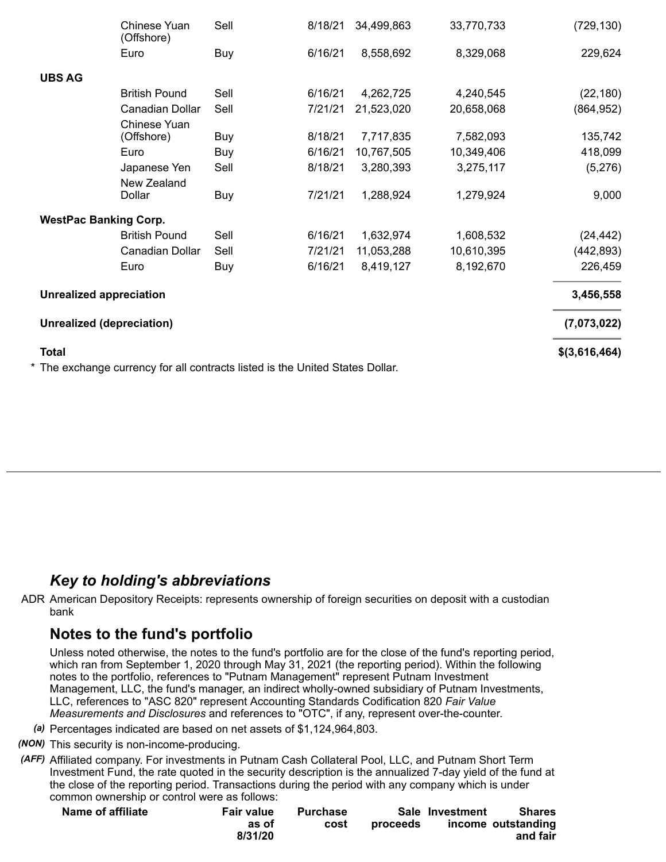|                                | Chinese Yuan<br>(Offshore)                                                    | Sell | 8/18/21 | 34,499,863 | 33,770,733 | (729, 130)    |
|--------------------------------|-------------------------------------------------------------------------------|------|---------|------------|------------|---------------|
|                                | Euro                                                                          | Buy  | 6/16/21 | 8,558,692  | 8,329,068  | 229,624       |
| <b>UBS AG</b>                  |                                                                               |      |         |            |            |               |
|                                | <b>British Pound</b>                                                          | Sell | 6/16/21 | 4,262,725  | 4,240,545  | (22, 180)     |
|                                | Canadian Dollar                                                               | Sell | 7/21/21 | 21,523,020 | 20,658,068 | (864, 952)    |
|                                | Chinese Yuan<br>(Offshore)                                                    | Buy  | 8/18/21 | 7,717,835  | 7,582,093  | 135,742       |
|                                | Euro                                                                          | Buy  | 6/16/21 | 10,767,505 | 10,349,406 | 418,099       |
|                                | Japanese Yen<br>New Zealand                                                   | Sell | 8/18/21 | 3,280,393  | 3,275,117  | (5,276)       |
|                                | Dollar                                                                        | Buy  | 7/21/21 | 1,288,924  | 1,279,924  | 9,000         |
| <b>WestPac Banking Corp.</b>   |                                                                               |      |         |            |            |               |
|                                | <b>British Pound</b>                                                          | Sell | 6/16/21 | 1,632,974  | 1,608,532  | (24, 442)     |
|                                | Canadian Dollar                                                               | Sell | 7/21/21 | 11,053,288 | 10,610,395 | (442, 893)    |
|                                | Euro                                                                          | Buy  | 6/16/21 | 8,419,127  | 8,192,670  | 226,459       |
| <b>Unrealized appreciation</b> |                                                                               |      |         |            |            | 3,456,558     |
| Unrealized (depreciation)      |                                                                               |      |         |            |            | (7,073,022)   |
| <b>Total</b>                   |                                                                               |      |         |            |            | \$(3,616,464) |
|                                | * The exchange currency for all contracts listed is the United States Dollar. |      |         |            |            |               |

## *Key to holding's abbreviations*

ADR American Depository Receipts: represents ownership of foreign securities on deposit with a custodian bank

## **Notes to the fund's portfolio**

Unless noted otherwise, the notes to the fund's portfolio are for the close of the fund's reporting period, which ran from September 1, 2020 through May 31, 2021 (the reporting period). Within the following notes to the portfolio, references to "Putnam Management" represent Putnam Investment Management, LLC, the fund's manager, an indirect wholly-owned subsidiary of Putnam Investments, LLC, references to "ASC 820" represent Accounting Standards Codification 820 *Fair Value Measurements and Disclosures* and references to "OTC", if any, represent over-the-counter.

- *(a)* Percentages indicated are based on net assets of \$1,124,964,803.
- *(NON)* This security is non-income-producing.
- *(AFF)* Affiliated company. For investments in Putnam Cash Collateral Pool, LLC, and Putnam Short Term Investment Fund, the rate quoted in the security description is the annualized 7-day yield of the fund at the close of the reporting period. Transactions during the period with any company which is under common ownership or control were as follows:

| Name of affiliate | <b>Fair value</b> | <b>Purchase</b> |          | Sale Investment | Shares             |
|-------------------|-------------------|-----------------|----------|-----------------|--------------------|
|                   | as of             | cost            | proceeds |                 | income outstanding |
|                   | 8/31/20           |                 |          |                 | and fair           |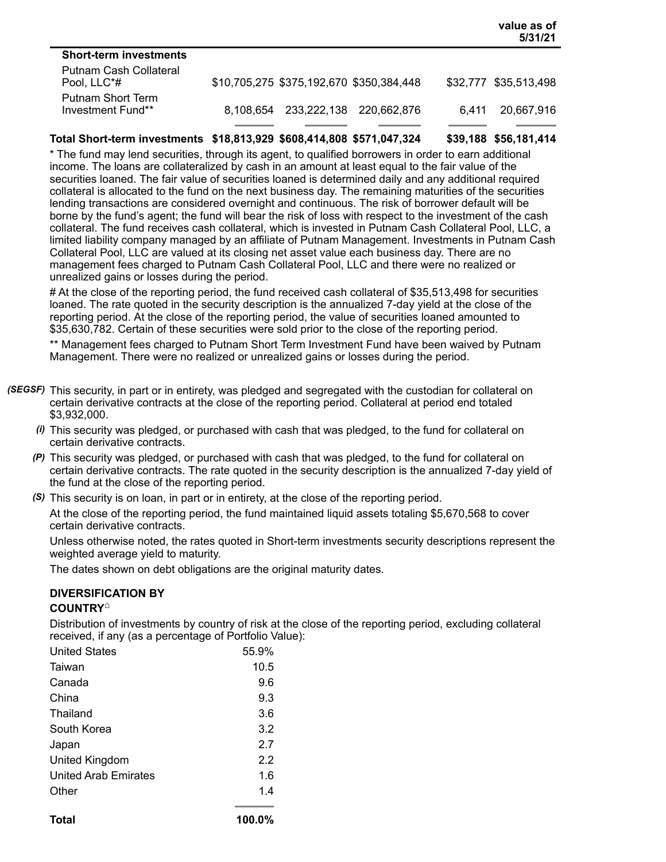|                                        |           |                                          |                         |       | 5/31/21               |
|----------------------------------------|-----------|------------------------------------------|-------------------------|-------|-----------------------|
| <b>Short-term investments</b>          |           |                                          |                         |       |                       |
| Putnam Cash Collateral<br>Pool, LLC*#  |           | \$10,705,275 \$375,192,670 \$350,384,448 |                         |       | \$32,777 \$35,513,498 |
| Putnam Short Term<br>Investment Fund** | 8.108.654 |                                          | 233,222,138 220,662,876 | 6.411 | 20,667,916            |
|                                        |           |                                          |                         |       |                       |

**value as of**

#### **Total Short-term investments \$18,813,929 \$608,414,808 \$571,047,324 \$39,188 \$56,181,414**

\* The fund may lend securities, through its agent, to qualified borrowers in order to earn additional income. The loans are collateralized by cash in an amount at least equal to the fair value of the securities loaned. The fair value of securities loaned is determined daily and any additional required collateral is allocated to the fund on the next business day. The remaining maturities of the securities lending transactions are considered overnight and continuous. The risk of borrower default will be borne by the fund's agent; the fund will bear the risk of loss with respect to the investment of the cash collateral. The fund receives cash collateral, which is invested in Putnam Cash Collateral Pool, LLC, a limited liability company managed by an affiliate of Putnam Management. Investments in Putnam Cash Collateral Pool, LLC are valued at its closing net asset value each business day. There are no management fees charged to Putnam Cash Collateral Pool, LLC and there were no realized or unrealized gains or losses during the period.

# At the close of the reporting period, the fund received cash collateral of \$35,513,498 for securities loaned. The rate quoted in the security description is the annualized 7-day yield at the close of the reporting period. At the close of the reporting period, the value of securities loaned amounted to \$35,630,782. Certain of these securities were sold prior to the close of the reporting period.

\*\* Management fees charged to Putnam Short Term Investment Fund have been waived by Putnam Management. There were no realized or unrealized gains or losses during the period.

- *(SEGSF)* This security, in part or in entirety, was pledged and segregated with the custodian for collateral on certain derivative contracts at the close of the reporting period. Collateral at period end totaled \$3,932,000.
	- *(i)* This security was pledged, or purchased with cash that was pledged, to the fund for collateral on certain derivative contracts.
	- *(P)* This security was pledged, or purchased with cash that was pledged, to the fund for collateral on certain derivative contracts. The rate quoted in the security description is the annualized 7-day yield of the fund at the close of the reporting period.
	- *(S)* This security is on loan, in part or in entirety, at the close of the reporting period.

At the close of the reporting period, the fund maintained liquid assets totaling \$5,670,568 to cover certain derivative contracts.

Unless otherwise noted, the rates quoted in Short-term investments security descriptions represent the weighted average yield to maturity.

The dates shown on debt obligations are the original maturity dates.

#### **DIVERSIFICATION BY**

#### **COUNTRY ⌂**

Distribution of investments by country of risk at the close of the reporting period, excluding collateral received, if any (as a percentage of Portfolio Value):

| <b>United States</b>        | 55.9% |
|-----------------------------|-------|
| Taiwan                      | 10.5  |
| Canada                      | 9.6   |
| China                       | 9.3   |
| Thailand                    | 3.6   |
| South Korea                 | 3.2   |
| Japan                       | 2.7   |
| United Kingdom              | 2.2   |
| <b>United Arab Emirates</b> | 1.6   |
| Other                       | 1.4   |
|                             |       |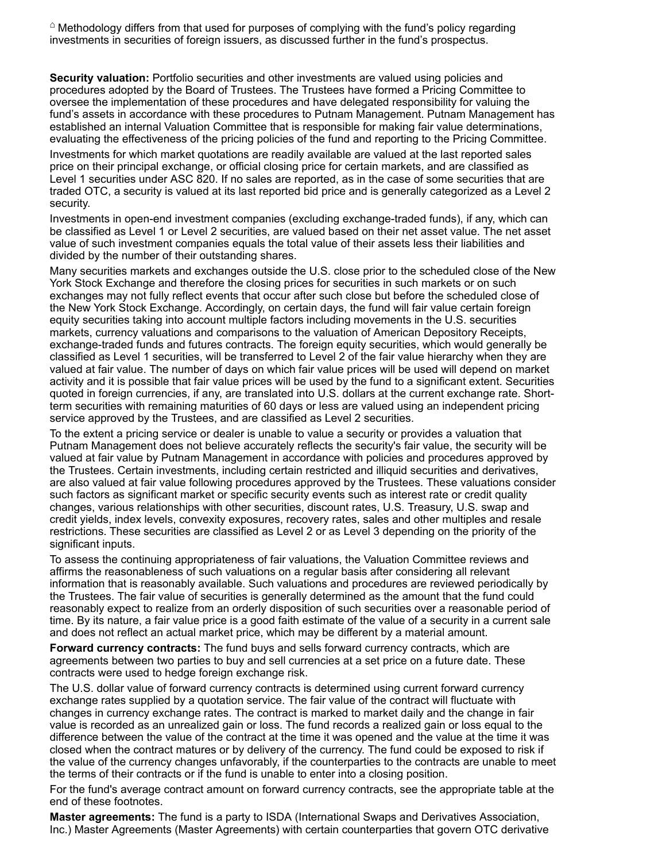$\degree$  Methodology differs from that used for purposes of complying with the fund's policy regarding investments in securities of foreign issuers, as discussed further in the fund's prospectus.

**Security valuation:** Portfolio securities and other investments are valued using policies and procedures adopted by the Board of Trustees. The Trustees have formed a Pricing Committee to oversee the implementation of these procedures and have delegated responsibility for valuing the fund's assets in accordance with these procedures to Putnam Management. Putnam Management has established an internal Valuation Committee that is responsible for making fair value determinations, evaluating the effectiveness of the pricing policies of the fund and reporting to the Pricing Committee.

Investments for which market quotations are readily available are valued at the last reported sales price on their principal exchange, or official closing price for certain markets, and are classified as Level 1 securities under ASC 820. If no sales are reported, as in the case of some securities that are traded OTC, a security is valued at its last reported bid price and is generally categorized as a Level 2 security.

Investments in open-end investment companies (excluding exchange-traded funds), if any, which can be classified as Level 1 or Level 2 securities, are valued based on their net asset value. The net asset value of such investment companies equals the total value of their assets less their liabilities and divided by the number of their outstanding shares.

Many securities markets and exchanges outside the U.S. close prior to the scheduled close of the New York Stock Exchange and therefore the closing prices for securities in such markets or on such exchanges may not fully reflect events that occur after such close but before the scheduled close of the New York Stock Exchange. Accordingly, on certain days, the fund will fair value certain foreign equity securities taking into account multiple factors including movements in the U.S. securities markets, currency valuations and comparisons to the valuation of American Depository Receipts, exchange-traded funds and futures contracts. The foreign equity securities, which would generally be classified as Level 1 securities, will be transferred to Level 2 of the fair value hierarchy when they are valued at fair value. The number of days on which fair value prices will be used will depend on market activity and it is possible that fair value prices will be used by the fund to a significant extent. Securities quoted in foreign currencies, if any, are translated into U.S. dollars at the current exchange rate. Shortterm securities with remaining maturities of 60 days or less are valued using an independent pricing service approved by the Trustees, and are classified as Level 2 securities.

To the extent a pricing service or dealer is unable to value a security or provides a valuation that Putnam Management does not believe accurately reflects the security's fair value, the security will be valued at fair value by Putnam Management in accordance with policies and procedures approved by the Trustees. Certain investments, including certain restricted and illiquid securities and derivatives, are also valued at fair value following procedures approved by the Trustees. These valuations consider such factors as significant market or specific security events such as interest rate or credit quality changes, various relationships with other securities, discount rates, U.S. Treasury, U.S. swap and credit yields, index levels, convexity exposures, recovery rates, sales and other multiples and resale restrictions. These securities are classified as Level 2 or as Level 3 depending on the priority of the significant inputs.

To assess the continuing appropriateness of fair valuations, the Valuation Committee reviews and affirms the reasonableness of such valuations on a regular basis after considering all relevant information that is reasonably available. Such valuations and procedures are reviewed periodically by the Trustees. The fair value of securities is generally determined as the amount that the fund could reasonably expect to realize from an orderly disposition of such securities over a reasonable period of time. By its nature, a fair value price is a good faith estimate of the value of a security in a current sale and does not reflect an actual market price, which may be different by a material amount.

**Forward currency contracts:** The fund buys and sells forward currency contracts, which are agreements between two parties to buy and sell currencies at a set price on a future date. These contracts were used to hedge foreign exchange risk.

The U.S. dollar value of forward currency contracts is determined using current forward currency exchange rates supplied by a quotation service. The fair value of the contract will fluctuate with changes in currency exchange rates. The contract is marked to market daily and the change in fair value is recorded as an unrealized gain or loss. The fund records a realized gain or loss equal to the difference between the value of the contract at the time it was opened and the value at the time it was closed when the contract matures or by delivery of the currency. The fund could be exposed to risk if the value of the currency changes unfavorably, if the counterparties to the contracts are unable to meet the terms of their contracts or if the fund is unable to enter into a closing position.

For the fund's average contract amount on forward currency contracts, see the appropriate table at the end of these footnotes.

**Master agreements:** The fund is a party to ISDA (International Swaps and Derivatives Association, Inc.) Master Agreements (Master Agreements) with certain counterparties that govern OTC derivative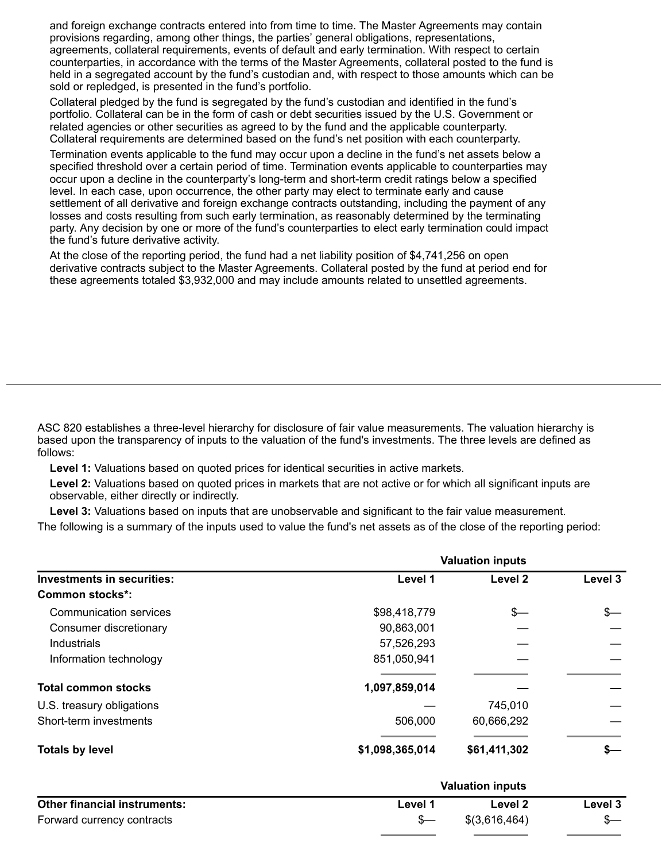and foreign exchange contracts entered into from time to time. The Master Agreements may contain provisions regarding, among other things, the parties' general obligations, representations, agreements, collateral requirements, events of default and early termination. With respect to certain counterparties, in accordance with the terms of the Master Agreements, collateral posted to the fund is held in a segregated account by the fund's custodian and, with respect to those amounts which can be sold or repledged, is presented in the fund's portfolio.

Collateral pledged by the fund is segregated by the fund's custodian and identified in the fund's portfolio. Collateral can be in the form of cash or debt securities issued by the U.S. Government or related agencies or other securities as agreed to by the fund and the applicable counterparty. Collateral requirements are determined based on the fund's net position with each counterparty.

Termination events applicable to the fund may occur upon a decline in the fund's net assets below a specified threshold over a certain period of time. Termination events applicable to counterparties may occur upon a decline in the counterparty's long-term and short-term credit ratings below a specified level. In each case, upon occurrence, the other party may elect to terminate early and cause settlement of all derivative and foreign exchange contracts outstanding, including the payment of any losses and costs resulting from such early termination, as reasonably determined by the terminating party. Any decision by one or more of the fund's counterparties to elect early termination could impact the fund's future derivative activity.

At the close of the reporting period, the fund had a net liability position of \$4,741,256 on open derivative contracts subject to the Master Agreements. Collateral posted by the fund at period end for these agreements totaled \$3,932,000 and may include amounts related to unsettled agreements.

ASC 820 establishes a three-level hierarchy for disclosure of fair value measurements. The valuation hierarchy is based upon the transparency of inputs to the valuation of the fund's investments. The three levels are defined as follows:

**Level 1:** Valuations based on quoted prices for identical securities in active markets.

**Level 2:** Valuations based on quoted prices in markets that are not active or for which all significant inputs are observable, either directly or indirectly.

**Level 3:** Valuations based on inputs that are unobservable and significant to the fair value measurement.

The following is a summary of the inputs used to value the fund's net assets as of the close of the reporting period:

|                                   | <b>Valuation inputs</b> |              |         |  |
|-----------------------------------|-------------------------|--------------|---------|--|
| <b>Investments in securities:</b> | Level 1                 | Level 2      | Level 3 |  |
| Common stocks*:                   |                         |              |         |  |
| <b>Communication services</b>     | \$98,418,779            | $s-$         | \$—     |  |
| Consumer discretionary            | 90,863,001              |              |         |  |
| Industrials                       | 57,526,293              |              |         |  |
| Information technology            | 851,050,941             |              |         |  |
| <b>Total common stocks</b>        | 1,097,859,014           |              |         |  |
| U.S. treasury obligations         |                         | 745,010      |         |  |
| Short-term investments            | 506,000                 | 60,666,292   |         |  |
| <b>Totals by level</b>            | \$1,098,365,014         | \$61,411,302 |         |  |

|                                     | <b>Valuation inputs</b> |               |         |
|-------------------------------------|-------------------------|---------------|---------|
| <b>Other financial instruments:</b> | Level 1                 | Level 2       | Level 3 |
| Forward currency contracts          |                         | \$(3,616,464) |         |